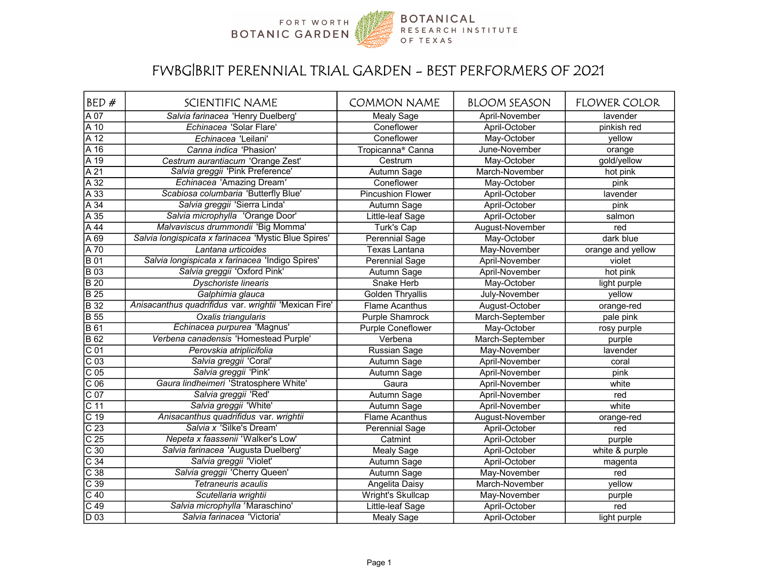

## FWBG|BRIT PERENNIAL TRIAL GARDEN - BEST PERFORMERS OF 2021

| BED#              | <b>SCIENTIFIC NAME</b>                                | <b>COMMON NAME</b>            | <b>BLOOM SEASON</b> | <b>FLOWER COLOR</b> |
|-------------------|-------------------------------------------------------|-------------------------------|---------------------|---------------------|
| $\overline{A}07$  | Salvia farinacea 'Henry Duelberg'                     | <b>Mealy Sage</b>             | April-November      | lavender            |
| A 10              | Echinacea 'Solar Flare'                               | Coneflower                    | April-October       | pinkish red         |
| A 12              | Echinacea 'Leilani'                                   | Coneflower                    | May-October         | yellow              |
| A 16              | Canna indica 'Phasion'                                | Tropicanna <sup>®</sup> Canna | June-November       | orange              |
| A 19              | Cestrum aurantiacum 'Orange Zest'                     | Cestrum                       | May-October         | gold/yellow         |
| $\overline{A21}$  | Salvia greggii 'Pink Preference'                      | Autumn Sage                   | March-November      | hot pink            |
| $\overline{A32}$  | Echinacea 'Amazing Dream'                             | Coneflower                    | May-October         | pink                |
| $\overline{A33}$  | Scabiosa columbaria 'Butterfly Blue'                  | <b>Pincushion Flower</b>      | April-October       | lavender            |
| $\overline{A34}$  | Salvia greggii 'Sierra Linda'                         | Autumn Sage                   | April-October       | pink                |
| $\overline{A35}$  | Salvia microphylla 'Orange Door'                      | Little-leaf Sage              | April-October       | salmon              |
| $\overline{A44}$  | Malvaviscus drummondii 'Big Momma'                    | Turk's Cap                    | August-November     | red                 |
| $\overline{A69}$  | Salvia longispicata x farinacea 'Mystic Blue Spires'  | Perennial Sage                | May-October         | dark blue           |
| A 70              | Lantana urticoides                                    | <b>Texas Lantana</b>          | May-November        | orange and yellow   |
| <b>B</b> 01       | Salvia longispicata x farinacea 'Indigo Spires'       | Perennial Sage                | April-November      | violet              |
| <b>B</b> 03       | Salvia greggii 'Oxford Pink'                          | Autumn Sage                   | April-November      | hot pink            |
| $\overline{B20}$  | Dyschoriste linearis                                  | Snake Herb                    | May-October         | light purple        |
| $\overline{B25}$  | Galphimia glauca                                      | <b>Golden Thryallis</b>       | July-November       | yellow              |
| <b>B</b> 32       | Anisacanthus quadrifidus var. wrightii 'Mexican Fire' | Flame Acanthus                | August-October      | orange-red          |
| <b>B</b> 55       | Oxalis triangularis                                   | <b>Purple Shamrock</b>        | March-September     | pale pink           |
| <b>B</b> 61       | Echinacea purpurea 'Magnus'                           | <b>Purple Coneflower</b>      | May-October         | rosy purple         |
| $\overline{B62}$  | Verbena canadensis 'Homestead Purple'                 | Verbena                       | March-September     | purple              |
| $\overline{C}01$  | Perovskia atriplicifolia                              | <b>Russian Sage</b>           | May-November        | lavender            |
| $\overline{C}$ 03 | Salvia greggii 'Coral'                                | Autumn Sage                   | April-November      | coral               |
| $\overline{C}$ 05 | Salvia greggii 'Pink'                                 | Autumn Sage                   | April-November      | pink                |
| $\overline{C}$ 06 | Gaura lindheimeri 'Stratosphere White'                | Gaura                         | April-November      | white               |
| $\overline{C}07$  | Salvia greggii 'Red'                                  | Autumn Sage                   | April-November      | red                 |
| $\overline{C}$ 11 | Salvia greggii 'White'                                | Autumn Sage                   | April-November      | white               |
| $\overline{C}$ 19 | Anisacanthus quadrifidus var. wrightii                | <b>Flame Acanthus</b>         | August-November     | orange-red          |
| $\overline{C}$ 23 | Salvia x 'Silke's Dream'                              | <b>Perennial Sage</b>         | April-October       | red                 |
| $\overline{C}$ 25 | Nepeta x faassenii 'Walker's Low'                     | Catmint                       | April-October       | purple              |
| $\overline{C}$ 30 | Salvia farinacea 'Augusta Duelberg'                   | <b>Mealy Sage</b>             | April-October       | white & purple      |
| $\overline{C34}$  | Salvia greggii 'Violet'                               | Autumn Sage                   | April-October       | magenta             |
| $\overline{C}$ 38 | Salvia greggii 'Cherry Queen'                         | Autumn Sage                   | May-November        | red                 |
| $\overline{C}$ 39 | Tetraneuris acaulis                                   | Angelita Daisy                | March-November      | yellow              |
| $\overline{C}$ 40 | Scutellaria wrightii                                  | <b>Wright's Skullcap</b>      | May-November        | purple              |
| $\overline{C49}$  | Salvia microphylla 'Maraschino'                       | Little-leaf Sage              | April-October       | red                 |
| D 03              | Salvia farinacea 'Victoria'                           | Mealy Sage                    | April-October       | light purple        |